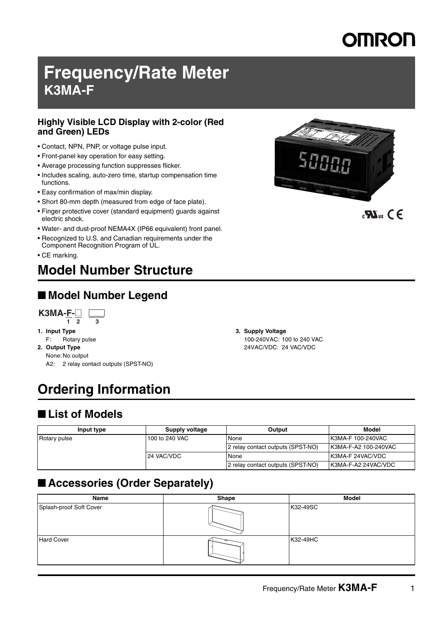# **Frequency/Rate Meter K3MA-F**

### **Highly Visible LCD Display with 2-color (Red and Green) LEDs**

- Contact, NPN, PNP, or voltage pulse input.
- Front-panel key operation for easy setting.
- Average processing function suppresses flicker.
- Includes scaling, auto-zero time, startup compensation time functions.
- Easy confirmation of max/min display.
- Short 80-mm depth (measured from edge of face plate).
- Finger protective cover (standard equipment) guards against electric shock.
- Water- and dust-proof NEMA4X (IP66 equivalent) front panel.
- Recognized to U.S. and Canadian requirements under the Component Recognition Program of UL.
- CE marking.

# **Model Number Structure**

# ■ **Model Number Legend**

**K3MA-F-**@  $\mathbf{L}$ **1 2 3** 

### **1. Input Type**

- F: Rotary pulse **2. Output Type**
- None: No output
	- A2: 2 relay contact outputs (SPST-NO)

# **Ordering Information**

# ■ List of Models

| Input type   | Supply voltage | Output                            | Model                     |
|--------------|----------------|-----------------------------------|---------------------------|
| Rotary pulse | 100 to 240 VAC | None                              | <b>IK3MA-F 100-240VAC</b> |
|              |                | 2 relay contact outputs (SPST-NO) | K3MA-F-A2 100-240VAC      |
|              | 24 VAC/VDC     | None                              | <b>IK3MA-F 24VAC/VDC</b>  |
|              |                | 2 relay contact outputs (SPST-NO) | I K3MA-F-A2 24VAC/VDC     |

**3. Supply Voltage**

100-240VAC: 100 to 240 VAC 24VAC/VDC: 24 VAC/VDC

# ■ **Accessories (Order Separately)**

| Name                    | Shape | <b>Model</b> |
|-------------------------|-------|--------------|
| Splash-proof Soft Cover |       | K32-49SC     |
| <b>Hard Cover</b>       |       | K32-49HC     |



 $\mathbf{R}$   $\mathbf{M}_{\text{us}}$   $\mathbf{C} \in$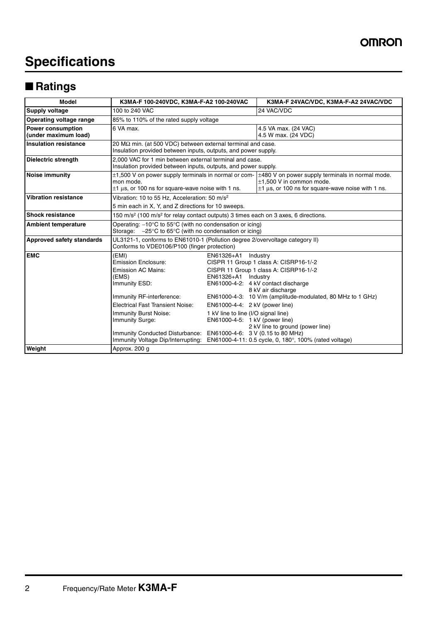# **Specifications**

# ■ **Ratings**

| <b>Model</b>                                     | K3MA-F 100-240VDC, K3MA-F-A2 100-240VAC                                                                                                                                                                                                                                                                                          |                                                                                                                                              | K3MA-F 24VAC/VDC, K3MA-F-A2 24VAC/VDC                                                                                                                                                                                                                                                                                 |  |  |
|--------------------------------------------------|----------------------------------------------------------------------------------------------------------------------------------------------------------------------------------------------------------------------------------------------------------------------------------------------------------------------------------|----------------------------------------------------------------------------------------------------------------------------------------------|-----------------------------------------------------------------------------------------------------------------------------------------------------------------------------------------------------------------------------------------------------------------------------------------------------------------------|--|--|
| Supply voltage                                   | 100 to 240 VAC                                                                                                                                                                                                                                                                                                                   |                                                                                                                                              | 24 VAC/VDC                                                                                                                                                                                                                                                                                                            |  |  |
| Operating voltage range                          | 85% to 110% of the rated supply voltage                                                                                                                                                                                                                                                                                          |                                                                                                                                              |                                                                                                                                                                                                                                                                                                                       |  |  |
| <b>Power consumption</b><br>(under maximum load) | 6 VA max.                                                                                                                                                                                                                                                                                                                        |                                                                                                                                              | 4.5 VA max. (24 VAC)<br>4.5 W max. (24 VDC)                                                                                                                                                                                                                                                                           |  |  |
| <b>Insulation resistance</b>                     | 20 $\text{M}\Omega$ min. (at 500 VDC) between external terminal and case.<br>Insulation provided between inputs, outputs, and power supply.                                                                                                                                                                                      |                                                                                                                                              |                                                                                                                                                                                                                                                                                                                       |  |  |
| Dielectric strength                              | 2.000 VAC for 1 min between external terminal and case.<br>Insulation provided between inputs, outputs, and power supply.                                                                                                                                                                                                        |                                                                                                                                              |                                                                                                                                                                                                                                                                                                                       |  |  |
| Noise immunity                                   | mon mode.<br>$\pm$ 1 µs, or 100 ns for square-wave noise with 1 ns.                                                                                                                                                                                                                                                              |                                                                                                                                              | $\pm$ 1,500 V on power supply terminals in normal or com- $\pm$ 480 V on power supply terminals in normal mode.<br>$\pm$ 1.500 V in common mode.<br>$\pm$ 1 µs, or 100 ns for square-wave noise with 1 ns.                                                                                                            |  |  |
| <b>Vibration resistance</b>                      | Vibration: 10 to 55 Hz, Acceleration: 50 m/s <sup>2</sup><br>5 min each in X, Y, and Z directions for 10 sweeps.                                                                                                                                                                                                                 |                                                                                                                                              |                                                                                                                                                                                                                                                                                                                       |  |  |
| <b>Shock resistance</b>                          | 150 m/s <sup>2</sup> (100 m/s <sup>2</sup> for relay contact outputs) 3 times each on 3 axes, 6 directions.                                                                                                                                                                                                                      |                                                                                                                                              |                                                                                                                                                                                                                                                                                                                       |  |  |
| <b>Ambient temperature</b>                       | Operating: $-10^{\circ}$ C to 55 $^{\circ}$ C (with no condensation or icing)<br>Storage: $-25^{\circ}$ C to 65 $^{\circ}$ C (with no condensation or icing)                                                                                                                                                                     |                                                                                                                                              |                                                                                                                                                                                                                                                                                                                       |  |  |
| Approved safety standards                        | UL3121-1, conforms to EN61010-1 (Pollution degree 2/overvoltage category II)<br>Conforms to VDE0106/P100 (finger protection)                                                                                                                                                                                                     |                                                                                                                                              |                                                                                                                                                                                                                                                                                                                       |  |  |
| <b>EMC</b>                                       | (EMI)<br><b>Emission Enclosure:</b><br><b>Emission AC Mains:</b><br>(EMS)<br>Immunity ESD:<br>Immunity RF-interference:<br>Electrical Fast Transient Noise:<br><b>Immunity Burst Noise:</b><br><b>Immunity Surge:</b><br>Immunity Conducted Disturbance: EN61000-4-6: 3 V (0.15 to 80 MHz)<br>Immunity Voltage Dip/Interrupting: | EN61326+A1<br>EN61326+A1 Industry<br>EN61000-4-4: 2 kV (power line)<br>1 kV line to line (I/O signal line)<br>EN61000-4-5: 1 kV (power line) | Industry<br>CISPR 11 Group 1 class A: CISRP16-1/-2<br>CISPR 11 Group 1 class A: CISRP16-1/-2<br>EN61000-4-2: 4 kV contact discharge<br>8 kV air discharge<br>EN61000-4-3: 10 V/m (amplitude-modulated, 80 MHz to 1 GHz)<br>2 kV line to ground (power line)<br>EN61000-4-11: 0.5 cycle, 0, 180°, 100% (rated voltage) |  |  |
| Weight                                           | Approx. 200 g                                                                                                                                                                                                                                                                                                                    |                                                                                                                                              |                                                                                                                                                                                                                                                                                                                       |  |  |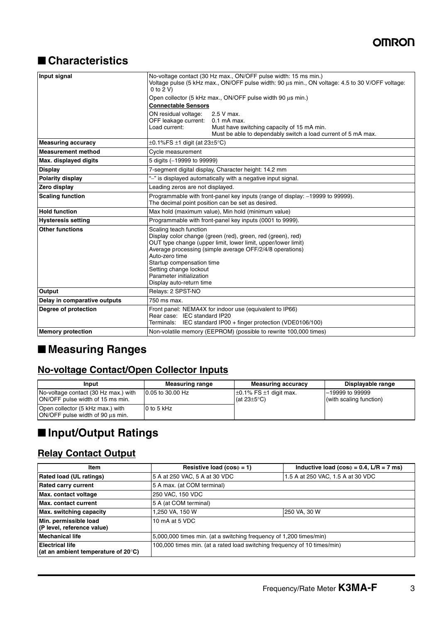# ■ **Characteristics**

| Input signal                 | No-voltage contact (30 Hz max., ON/OFF pulse width: 15 ms min.)<br>Voltage pulse (5 kHz max., ON/OFF pulse width: 90 µs min., ON voltage: 4.5 to 30 V/OFF voltage:<br>$0$ to $2$ V)                                                                                                                                                                 |  |  |  |
|------------------------------|-----------------------------------------------------------------------------------------------------------------------------------------------------------------------------------------------------------------------------------------------------------------------------------------------------------------------------------------------------|--|--|--|
|                              | Open collector (5 kHz max., ON/OFF pulse width 90 us min.)                                                                                                                                                                                                                                                                                          |  |  |  |
|                              | <b>Connectable Sensors</b>                                                                                                                                                                                                                                                                                                                          |  |  |  |
|                              | ON residual voltage:<br>2.5 V max.<br>OFF leakage current: 0.1 mA max.                                                                                                                                                                                                                                                                              |  |  |  |
|                              | Load current:<br>Must have switching capacity of 15 mA min.<br>Must be able to dependably switch a load current of 5 mA max.                                                                                                                                                                                                                        |  |  |  |
| <b>Measuring accuracy</b>    | $\pm$ 0.1%FS $\pm$ 1 digit (at 23 $\pm$ 5°C)                                                                                                                                                                                                                                                                                                        |  |  |  |
| <b>Measurement method</b>    | Cycle measurement                                                                                                                                                                                                                                                                                                                                   |  |  |  |
| Max. displayed digits        | 5 digits (-19999 to 99999)                                                                                                                                                                                                                                                                                                                          |  |  |  |
| <b>Display</b>               | 7-segment digital display, Character height: 14.2 mm                                                                                                                                                                                                                                                                                                |  |  |  |
| <b>Polarity display</b>      | "-" is displayed automatically with a negative input signal.                                                                                                                                                                                                                                                                                        |  |  |  |
| Zero display                 | Leading zeros are not displayed.                                                                                                                                                                                                                                                                                                                    |  |  |  |
| <b>Scaling function</b>      | Programmable with front-panel key inputs (range of display: -19999 to 99999).<br>The decimal point position can be set as desired.                                                                                                                                                                                                                  |  |  |  |
| <b>Hold function</b>         | Max hold (maximum value), Min hold (minimum value)                                                                                                                                                                                                                                                                                                  |  |  |  |
| <b>Hysteresis setting</b>    | Programmable with front-panel key inputs (0001 to 9999).                                                                                                                                                                                                                                                                                            |  |  |  |
| <b>Other functions</b>       | Scaling teach function<br>Display color change (green (red), green, red (green), red)<br>OUT type change (upper limit, lower limit, upper/lower limit)<br>Average processing (simple average OFF/2/4/8 operations)<br>Auto-zero time<br>Startup compensation time<br>Setting change lockout<br>Parameter initialization<br>Display auto-return time |  |  |  |
| <b>Output</b>                | Relays: 2 SPST-NO                                                                                                                                                                                                                                                                                                                                   |  |  |  |
| Delay in comparative outputs | 750 ms max.                                                                                                                                                                                                                                                                                                                                         |  |  |  |
| Degree of protection         | Front panel: NEMA4X for indoor use (equivalent to IP66)<br>Rear case: IEC standard IP20<br>Terminals: IEC standard IP00 + finger protection (VDE0106/100)                                                                                                                                                                                           |  |  |  |
| <b>Memory protection</b>     | Non-volatile memory (EEPROM) (possible to rewrite 100,000 times)                                                                                                                                                                                                                                                                                    |  |  |  |

# ■ **Measuring Ranges**

### **No-voltage Contact/Open Collector Inputs**

| Input                                                                    | <b>Measuring range</b> | <b>Measuring accuracy</b>                                                   | Displayable range                          |
|--------------------------------------------------------------------------|------------------------|-----------------------------------------------------------------------------|--------------------------------------------|
| No-voltage contact (30 Hz max.) with<br>ON/OFF pulse width of 15 ms min. | 10.05 to 30.00 Hz      | $\pm$ 0.1% FS $\pm$ 1 digit max.<br>$(\text{at }23 \pm 5^{\circ} \text{C})$ | -19999 to 99999<br>(with scaling function) |
| Open collector (5 kHz max.) with<br>ON/OFF pulse width of 90 us min.     | 0 to 5 kHz             |                                                                             |                                            |

# ■ **Input/Output Ratings**

### **Relay Contact Output**

| Item                                                                    | Resistive load ( $cos\phi = 1$ )                                         | Inductive load ( $cos\phi = 0.4$ , L/R = 7 ms) |  |  |  |
|-------------------------------------------------------------------------|--------------------------------------------------------------------------|------------------------------------------------|--|--|--|
| <b>Rated load (UL ratings)</b>                                          | 5 A at 250 VAC, 5 A at 30 VDC                                            | 1.5 A at 250 VAC, 1.5 A at 30 VDC              |  |  |  |
| <b>Rated carry current</b>                                              | 5 A max. (at COM terminal)                                               |                                                |  |  |  |
| Max. contact voltage                                                    | 250 VAC, 150 VDC                                                         |                                                |  |  |  |
| Max. contact current                                                    | 5 A (at COM terminal)                                                    |                                                |  |  |  |
| Max. switching capacity                                                 | 1,250 VA, 150 W                                                          | 250 VA, 30 W                                   |  |  |  |
| Min. permissible load<br>(P level, reference value)                     | 10 mA at 5 VDC                                                           |                                                |  |  |  |
| <b>Mechanical life</b>                                                  | 5,000,000 times min. (at a switching frequency of 1,200 times/min)       |                                                |  |  |  |
| <b>Electrical life</b><br>(at an ambient temperature of $20^{\circ}$ C) | 100,000 times min. (at a rated load switching frequency of 10 times/min) |                                                |  |  |  |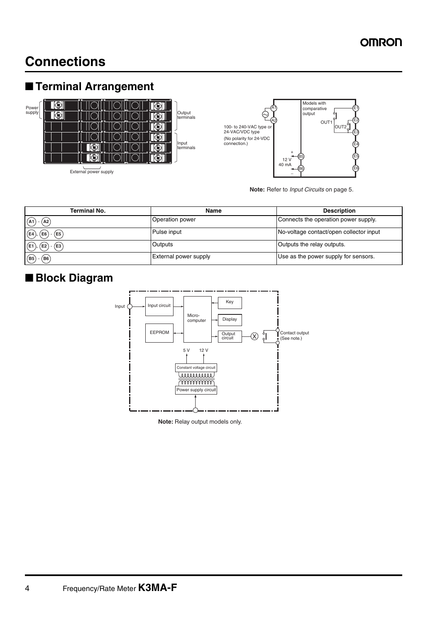# **Connections**

# ■ **Terminal Arrangement**



External power supply



**Note:** Refer to *Input Circuits* on page 5.

| <b>Terminal No.</b>                      | <b>Name</b>                  | <b>Description</b>                      |  |
|------------------------------------------|------------------------------|-----------------------------------------|--|
| (A1)<br>A2                               | Operation power              | Connects the operation power supply.    |  |
| $\widehat{[\mathsf{E4}})$<br>(E5<br>(E6) | Pulse input                  | No-voltage contact/open collector input |  |
| $(F_1)$<br>(E2)<br>(E3                   | Outputs                      | Outputs the relay outputs.              |  |
| $\widehat{B6}$<br>(B5)                   | <b>External power supply</b> | Use as the power supply for sensors.    |  |

# ■ **Block Diagram**



**Note:** Relay output models only.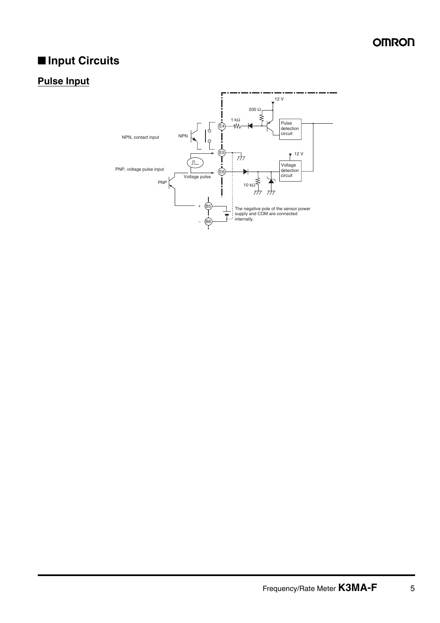# ■ **Input Circuits**

# **Pulse Input**

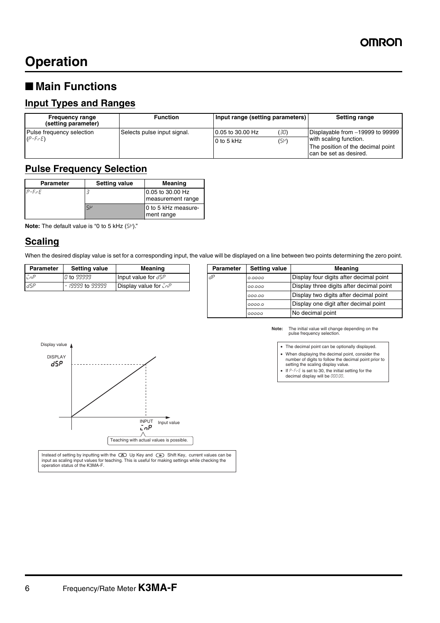# **Operation**

# ■ Main Functions

### **Input Types and Ranges**

| <b>Frequency range</b><br>(setting parameter) | <b>Function</b>             | Input range (setting parameters) |      | Setting range                                                                         |
|-----------------------------------------------|-----------------------------|----------------------------------|------|---------------------------------------------------------------------------------------|
| Pulse frequency selection                     | Selects pulse input signal. | 0.05 to 30.00 Hz                 | (30) | Displayable from -19999 to 99999                                                      |
| $(P-F-E)$                                     |                             | $0$ to 5 kHz                     | (5P) | with scaling function.<br>The position of the decimal point<br>can be set as desired. |

### **Pulse Frequency Selection**

| <b>Parameter</b> | <b>Setting value</b> | Meaning                               |
|------------------|----------------------|---------------------------------------|
| $P$ - $F$ $F$    |                      | 0.05 to 30.00 Hz<br>measurement range |
|                  | $5\mu$               | 0 to 5 kHz measure-<br>ment range     |

**Note:** The default value is "0 to 5 kHz  $(5<sup>\mu</sup>)$ ."

### **Scaling**

When the desired display value is set for a corresponding input, the value will be displayed on a line between two points determining the zero point.

| <b>Parameter</b> | Setting value     | Meaning                      | <b>Parameter</b> | Setting value | Meaning                                 |
|------------------|-------------------|------------------------------|------------------|---------------|-----------------------------------------|
| LnP              | <i>0</i> to 99999 | Input value for $d5P$        | .dP              | 0.0000        | Display four digits after de            |
| <b>IdSP</b>      | - 19999 to 99999  | <b>Display value for CnP</b> |                  | 00.000        | Display three digits after of           |
|                  |                   |                              |                  |               | .<br>$\sim$ $\sim$ $\sim$ $\sim$ $\sim$ |

| <b>Parameter</b> | <b>Setting value</b> | <b>Meaning</b>                | Parameter | <b>Setting value</b> | Meaning                                  |
|------------------|----------------------|-------------------------------|-----------|----------------------|------------------------------------------|
| ⊑nP∶             | <i>Q</i> to 99999    | Input value for $d5P$         | . dP      | 0.0000               | Display four digits after decimal point  |
| 8P ה             | - 19999 to 99999     | Display value for $\bar{L}nP$ |           | 00.000               | Display three digits after decimal point |
|                  |                      |                               |           | 000.00               | Display two digits after decimal point   |
|                  |                      |                               |           | 0000.0               | Display one digit after decimal point    |
|                  |                      |                               |           | 99999                | No decimal point                         |



- When displaying the decimal point, consider the number of digits to follow the decimal point prior to setting the scaling display value.
- If  $P$ - $F$ - $E$  is set to 30, the initial setting for the decimal display will be 000.00.



Instead of setting by inputting with the  $\circledast$  Up Key and  $\circledast$  Shift Key, current values can be input as scaling input values for teaching. This is useful for making settings while checking the operation status of the K3MA-F.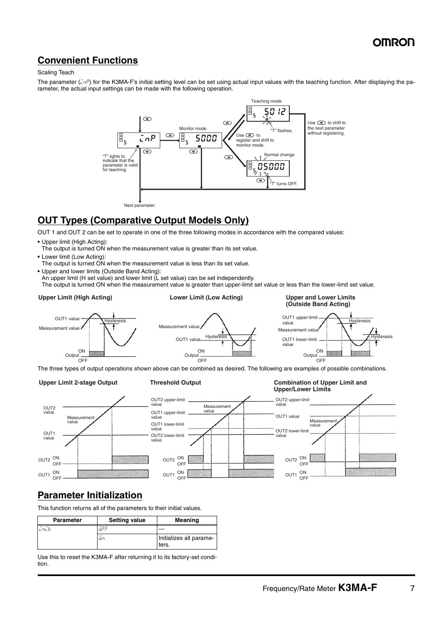### **Convenient Functions**

#### Scaling Teach

The parameter ( $\bar{\mu}nP$ ) for the K3MA-F's initial setting level can be set using actual input values with the teaching function. After displaying the parameter, the actual input settings can be made with the following operation.



### **OUT Types (Comparative Output Models Only)**

OUT 1 and OUT 2 can be set to operate in one of the three following modes in accordance with the compared values:

- **•** Upper limit (High Acting):
- The output is turned ON when the measurement value is greater than its set value.
- **•** Lower limit (Low Acting):
- The output is turned ON when the measurement value is less than its set value.
- **•** Upper and lower limits (Outside Band Acting):
	- An upper limit (H set value) and lower limit (L set value) can be set independently.

The output is turned ON when the measurement value is greater than upper-limit set value or less than the lower-limit set value.

#### **Upper Limit (High Acting)**

### **Lower Limit (Low Acting) Upper and Lower Limits**







The three types of output operations shown above can be combined as desired. The following are examples of possible combinations.

#### **Upper Limit 2-stage Output**







### **Parameter Initialization**

This function returns all of the parameters to their initial values.

| <b>Parameter</b> | <b>Setting value</b> | Meaning                          |
|------------------|----------------------|----------------------------------|
| LOLE             | āFf                  |                                  |
|                  | on                   | Initializes all parame-<br>ters. |

Use this to reset the K3MA-F after returning it to its factory-set condition.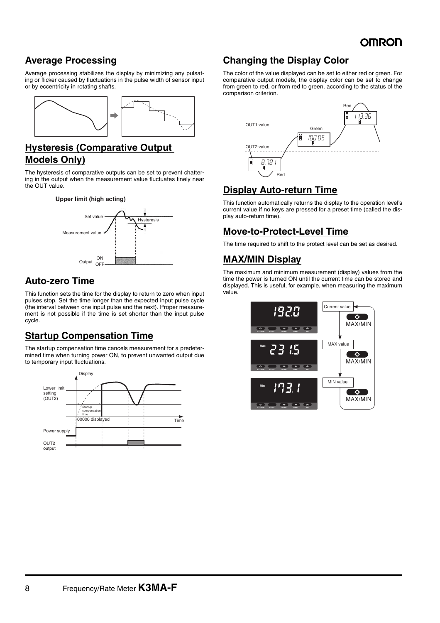### **Average Processing**

Average processing stabilizes the display by minimizing any pulsating or flicker caused by fluctuations in the pulse width of sensor input or by eccentricity in rotating shafts.



### **Hysteresis (Comparative Output Models Only)**

The hysteresis of comparative outputs can be set to prevent chattering in the output when the measurement value fluctuates finely near the OUT value.





### **Auto-zero Time**

This function sets the time for the display to return to zero when input pulses stop. Set the time longer than the expected input pulse cycle (the interval between one input pulse and the next). Proper measurement is not possible if the time is set shorter than the input pulse cycle.

### **Startup Compensation Time**

The startup compensation time cancels measurement for a predetermined time when turning power ON, to prevent unwanted output due to temporary input fluctuations.



### **Changing the Display Color**

The color of the value displayed can be set to either red or green. For comparative output models, the display color can be set to change from green to red, or from red to green, according to the status of the comparison criterion.



### **Display Auto-return Time**

This function automatically returns the display to the operation level's current value if no keys are pressed for a preset time (called the display auto-return time).

### **Move-to-Protect-Level Time**

The time required to shift to the protect level can be set as desired.

### **MAX/MIN Display**

The maximum and minimum measurement (display) values from the time the power is turned ON until the current time can be stored and displayed. This is useful, for example, when measuring the maximum value.

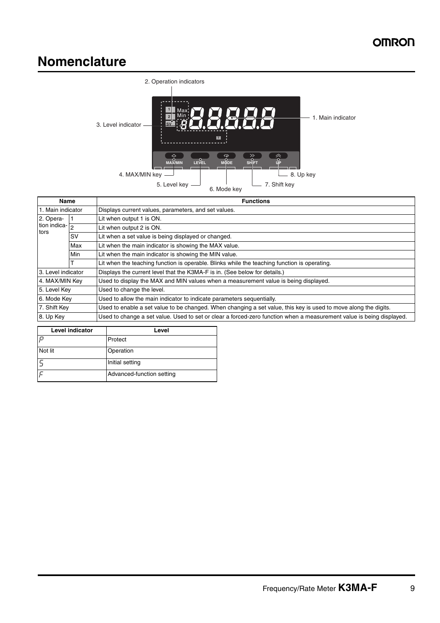# **Nomenclature**



| Name                     |           | <b>Functions</b>                                                                                                     |  |  |
|--------------------------|-----------|----------------------------------------------------------------------------------------------------------------------|--|--|
| 1. Main indicator        |           | Displays current values, parameters, and set values.                                                                 |  |  |
| 2. Opera-                |           | Lit when output 1 is ON.                                                                                             |  |  |
| tion indica- $\boxed{2}$ |           | Lit when output 2 is ON.                                                                                             |  |  |
| tors                     | <b>SV</b> | Lit when a set value is being displayed or changed.                                                                  |  |  |
|                          | Max       | Lit when the main indicator is showing the MAX value.                                                                |  |  |
|                          | Min       | Lit when the main indicator is showing the MIN value.                                                                |  |  |
|                          |           | Lit when the teaching function is operable. Blinks while the teaching function is operating.                         |  |  |
| 3. Level indicator       |           | Displays the current level that the K3MA-F is in. (See below for details.)                                           |  |  |
| 4. MAX/MIN Key           |           | Used to display the MAX and MIN values when a measurement value is being displayed.                                  |  |  |
| 5. Level Key             |           | Used to change the level.                                                                                            |  |  |
| 6. Mode Key              |           | Used to allow the main indicator to indicate parameters sequentially.                                                |  |  |
| 7. Shift Key             |           | Used to enable a set value to be changed. When changing a set value, this key is used to move along the digits.      |  |  |
| 8. Up Key                |           | Used to change a set value. Used to set or clear a forced-zero function when a measurement value is being displayed. |  |  |
|                          |           |                                                                                                                      |  |  |

| <b>Level indicator</b> | Level                     |  |
|------------------------|---------------------------|--|
| $\Box$                 | Protect                   |  |
| Not lit                | Operation                 |  |
|                        | Initial setting           |  |
|                        | Advanced-function setting |  |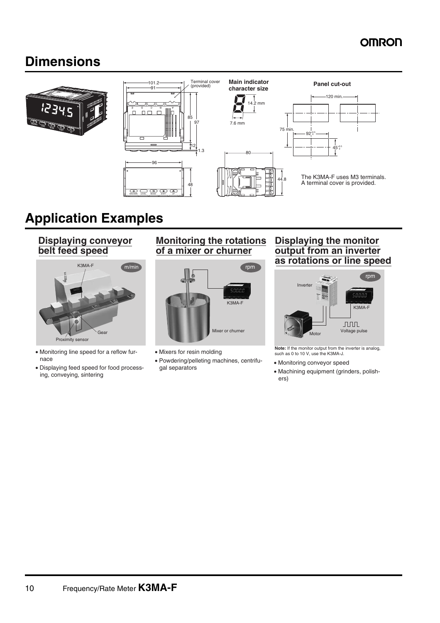# **Dimensions**



# **Application Examples**

**Displaying conveyor belt feed speed**

 $Prove$ 

- Monitoring line speed for a reflow fur nace
- Displaying feed speed for food process ing, conveying, sintering

### **Monitoring the rotations of a mixer or churner**



- Mixers for resin molding
- Powdering/pelleting machines, centrifu-<br>gal separators

### **Displaying the monitor output from an inverter as rotations or line speed**



**Note:** If the monitor output from the inverter is analog, such as 0 to 10 V, use the K3MA-J.

- Monitoring conveyor speed
- Machining equipment (grinders, polish ers)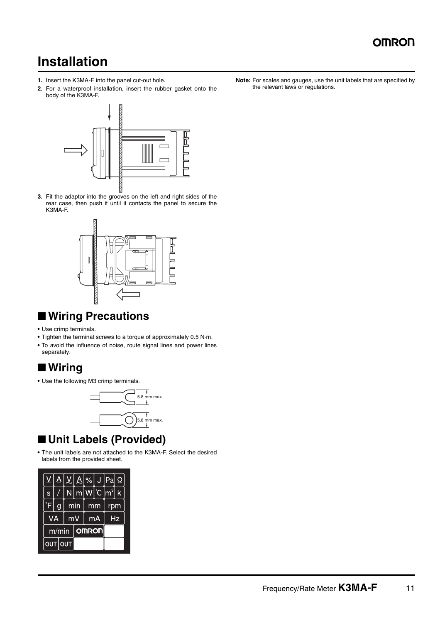# **Installation**

- **1.** Insert the K3MA-F into the panel cut-out hole.
- **2.** For a waterproof installation, insert the rubber gasket onto the body of the K3MA-F.



**3.** Fit the adaptor into the grooves on the left and right sides of the rear case, then push it until it contacts the panel to secure the K3MA-F.



# ■ **Wiring Precautions**

- **•** Use crimp terminals.
- **•** Tighten the terminal screws to a torque of approximately 0.5 N⋅m.
- **•** To avoid the influence of noise, route signal lines and power lines separately.

# ■ **Wiring**

**•** Use the following M3 crimp terminals.



# ■ **Unit Labels (Provided)**

**•** The unit labels are not attached to the K3MA-F. Select the desired labels from the provided sheet.



**Note:** For scales and gauges, use the unit labels that are specified by the relevant laws or regulations.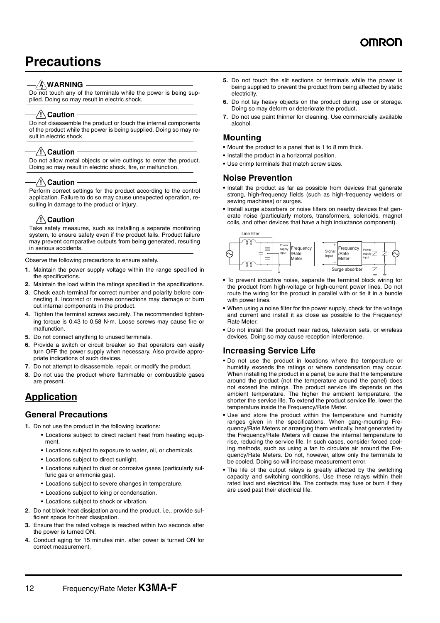# **Precautions**

#### – ⁄∳∖WARNING

Do not touch any of the terminals while the power is being supplied. Doing so may result in electric shock.

#### ⁄ !∖ Caution

Do not disassemble the product or touch the internal components of the product while the power is being supplied. Doing so may result in electric shock.

#### $\sqrt{N}$  Caution

Do not allow metal objects or wire cuttings to enter the product. Doing so may result in electric shock, fire, or malfunction.

#### $\sqrt{!}$  Caution

Perform correct settings for the product according to the control application. Failure to do so may cause unexpected operation, resulting in damage to the product or injury.

#### $\sqrt{!}$  Caution

Take safety measures, such as installing a separate monitoring system, to ensure safety even if the product fails. Product failure may prevent comparative outputs from being generated, resulting in serious accidents.

Observe the following precautions to ensure safety.

- **1.** Maintain the power supply voltage within the range specified in the specifications.
- **2.** Maintain the load within the ratings specified in the specifications.
- **3.** Check each terminal for correct number and polarity before connecting it. Incorrect or reverse connections may damage or burn out internal components in the product.
- **4.** Tighten the terminal screws securely. The recommended tightening torque is 0.43 to 0.58 N⋅m. Loose screws may cause fire or malfunction.
- **5.** Do not connect anything to unused terminals.
- **6.** Provide a switch or circuit breaker so that operators can easily turn OFF the power supply when necessary. Also provide appropriate indications of such devices.
- **7.** Do not attempt to disassemble, repair, or modify the product.
- **8.** Do not use the product where flammable or combustible gases are present.

### **Application**

#### **General Precautions**

- **1.** Do not use the product in the following locations:
	- Locations subject to direct radiant heat from heating equipment.
	- Locations subject to exposure to water, oil, or chemicals.
	- Locations subject to direct sunlight.
	- Locations subject to dust or corrosive gases (particularly sulfuric gas or ammonia gas).
	- Locations subject to severe changes in temperature.
	- Locations subject to icing or condensation.
	- Locations subject to shock or vibration.
- **2.** Do not block heat dissipation around the product, i.e., provide sufficient space for heat dissipation.
- **3.** Ensure that the rated voltage is reached within two seconds after the power is turned ON.
- **4.** Conduct aging for 15 minutes min. after power is turned ON for correct measurement.
- **5.** Do not touch the slit sections or terminals while the power is being supplied to prevent the product from being affected by static electricity.
- **6.** Do not lay heavy objects on the product during use or storage. Doing so may deform or deteriorate the product.
- **7.** Do not use paint thinner for cleaning. Use commercially available alcohol.

### **Mounting**

- **•** Mount the product to a panel that is 1 to 8 mm thick.
- **•** Install the product in a horizontal position.
- **•** Use crimp terminals that match screw sizes.

#### **Noise Prevention**

- **•** Install the product as far as possible from devices that generate strong, high-frequency fields (such as high-frequency welders or sewing machines) or surges.
- **•** Install surge absorbers or noise filters on nearby devices that generate noise (particularly motors, transformers, solenoids, magnet coils, and other devices that have a high inductance component).



- **•** To prevent inductive noise, separate the terminal block wiring for the product from high-voltage or high-current power lines. Do not route the wiring for the product in parallel with or tie it in a bundle with power lines.
- **•** When using a noise filter for the power supply, check for the voltage and current and install it as close as possible to the Frequency/ Rate Meter.
- **•** Do not install the product near radios, television sets, or wireless devices. Doing so may cause reception interference.

#### **Increasing Service Life**

- **•** Do not use the product in locations where the temperature or humidity exceeds the ratings or where condensation may occur. When installing the product in a panel, be sure that the temperature around the product (not the temperature around the panel) does not exceed the ratings. The product service life depends on the ambient temperature. The higher the ambient temperature, the shorter the service life. To extend the product service life, lower the temperature inside the Frequency/Rate Meter.
- **•** Use and store the product within the temperature and humidity ranges given in the specifications. When gang-mounting Frequency/Rate Meters or arranging them vertically, heat generated by the Frequency/Rate Meters will cause the internal temperature to rise, reducing the service life. In such cases, consider forced cooling methods, such as using a fan to circulate air around the Frequency/Rate Meters. Do not, however, allow only the terminals to be cooled. Doing so will increase measurement error.
- **•** The life of the output relays is greatly affected by the switching capacity and switching conditions. Use these relays within their rated load and electrical life. The contacts may fuse or burn if they are used past their electrical life.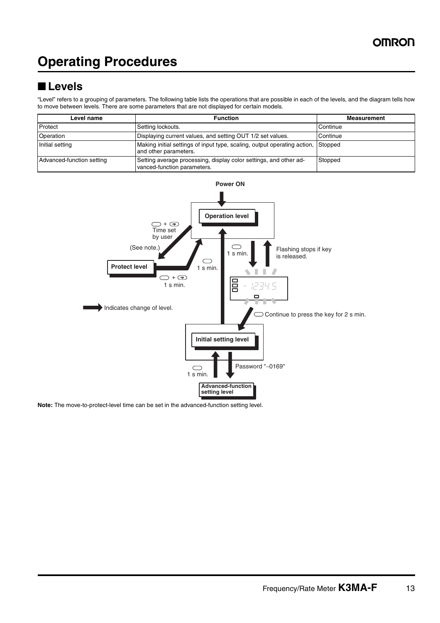# **Operating Procedures**

# ■ **Levels**

"Level" refers to a grouping of parameters. The following table lists the operations that are possible in each of the levels, and the diagram tells how to move between levels. There are some parameters that are not displayed for certain models.

| Level name                | <b>Function</b>                                                                                           | <b>Measurement</b> |
|---------------------------|-----------------------------------------------------------------------------------------------------------|--------------------|
| Protect                   | Setting lockouts.                                                                                         | Continue           |
| Operation                 | Displaying current values, and setting OUT 1/2 set values.                                                | Continue           |
| Initial setting           | Making initial settings of input type, scaling, output operating action, Stopped<br>and other parameters. |                    |
| Advanced-function setting | Setting average processing, display color settings, and other ad-<br>vanced-function parameters.          | Stopped            |



**Note:** The move-to-protect-level time can be set in the advanced-function setting level.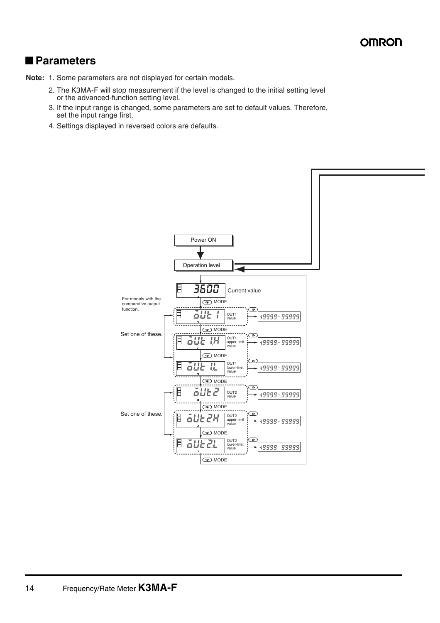### ■ **Parameters**

**Note:** 1. Some parameters are not displayed for certain models.

- 2. The K3MA-F will stop measurement if the level is changed to the initial setting level or the advanced-function setting level.
- 3. If the input range is changed, some parameters are set to default values. Therefore, set the input range first.
- 4. Settings displayed in reversed colors are defaults.

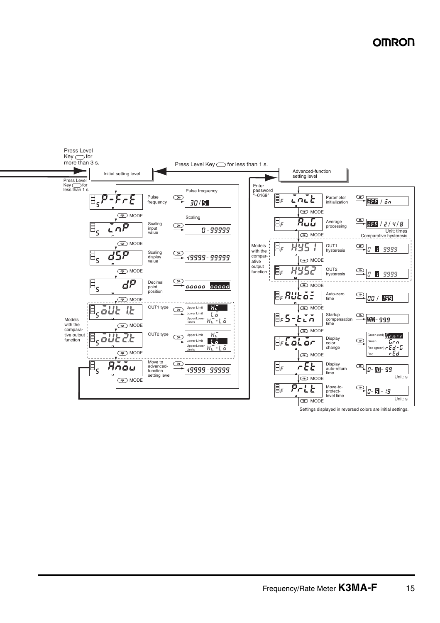

Settings displayed in reversed colors are initial settings.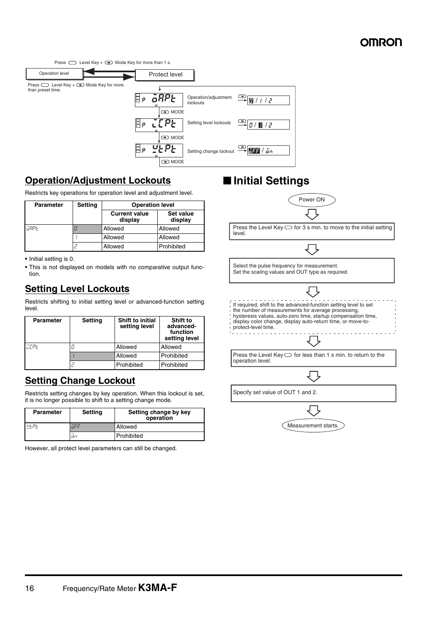Press  $\bigcirc$  Level Key +  $\circledast$  Mode Key for more than 1 s.



### **Operation/Adjustment Lockouts**

Restricts key operations for operation level and adjustment level.

| <b>Parameter</b> | <b>Setting</b> | <b>Operation level</b>          |                      |
|------------------|----------------|---------------------------------|----------------------|
|                  |                | <b>Current value</b><br>display | Set value<br>display |
| āRPE             |                | Allowed                         | Allowed              |
|                  |                | Allowed                         | Allowed              |
|                  |                | Allowed                         | Prohibited           |

**•** Initial setting is 0.

**•** This is not displayed on models with no comparative output function.

### **Setting Level Lockouts**

Restricts shifting to initial setting level or advanced-function setting level.

| <b>Parameter</b> | <b>Setting</b> | <b>Shift to initial</b><br>setting level | <b>Shift to</b><br>advanced-<br>function<br>setting level |
|------------------|----------------|------------------------------------------|-----------------------------------------------------------|
| <b>CEPE</b>      |                | Allowed                                  | Allowed                                                   |
|                  |                | Allowed                                  | Prohibited                                                |
|                  |                | Prohibited                               | Prohibited                                                |

### **Setting Change Lockout**

Restricts setting changes by key operation. When this lockout is set, it is no longer possible to shift to a setting change mode.

| Parameter | <b>Setting</b> | Setting change by key<br>operation |
|-----------|----------------|------------------------------------|
| $U_F P_F$ | āFF            | Allowed                            |
|           | on             | Prohibited                         |

However, all protect level parameters can still be changed.

# ■ **Initial Settings**



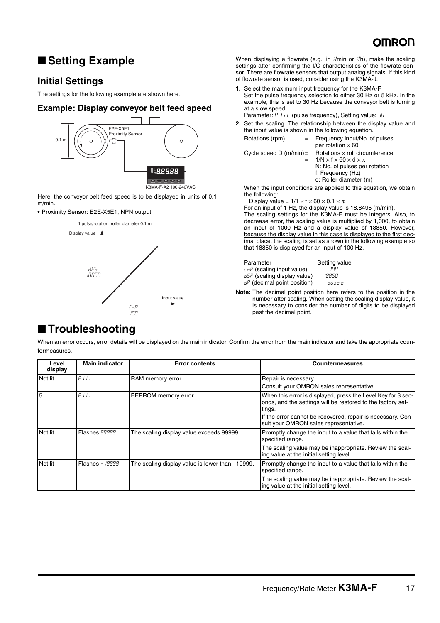# ■ **Setting Example**

### **Initial Settings**

The settings for the following example are shown here.

### **Example: Display conveyor belt feed speed**



Here, the conveyor belt feed speed is to be displayed in units of 0.1 m/min.

**•** Proximity Sensor: E2E-X5E1, NPN output



When displaying a flowrate (e.g., in  $\ell$ min or  $\ell$ h), make the scaling settings after confirming the I/O characteristics of the flowrate sensor. There are flowrate sensors that output analog signals. If this kind of flowrate sensor is used, consider using the K3MA-J.

- **1.** Select the maximum input frequency for the K3MA-F. Set the pulse frequency selection to either 30 Hz or 5 kHz. In the example, this is set to 30 Hz because the conveyor belt is turning at a slow speed.
- Parameter: P-FrE (pulse frequency), Setting value: 30 **2.** Set the scaling. The relationship between the display value and the input value is shown in the following equation.

| Rotations (rpm)           | Frequency input/No. of pulses<br>per rotation $\times$ 60                                                                                                             |
|---------------------------|-----------------------------------------------------------------------------------------------------------------------------------------------------------------------|
| Cycle speed D $(m/min) =$ | Rotations $\times$ roll circumference<br>$1/N \times f \times 60 \times d \times \pi$<br>N: No. of pulses per rotation<br>f: Frequency (Hz)<br>d: Roller diameter (m) |

When the input conditions are applied to this equation, we obtain the following:

Display value =  $1/1 \times f \times 60 \times 0.1 \times \pi$ 

For an input of 1 Hz, the display value is 18.8495 (m/min).

The scaling settings for the K3MA-F must be integers. Also, to decrease error, the scaling value is multiplied by 1,000, to obtain an input of 1000 Hz and a display value of 18850. However, because the display value in this case is displayed to the first decimal place, the scaling is set as shown in the following example so that 18850 is displayed for an input of 100 Hz.

Setting value

- $\bar{L}n^p$  (scaling input value)  $\bar{100}$ <br> $\bar{d}SP$  (scaling display value)  $18850$  $d5P$  (scaling display value)
- $dP$  (decimal point position)  $\cos \theta$
- **Note:** The decimal point position here refers to the position in the number after scaling. When setting the scaling display value, it is necessary to consider the number of digits to be displayed past the decimal point.

### ■ **Troubleshooting**

When an error occurs, error details will be displayed on the main indicator. Confirm the error from the main indicator and take the appropriate countermeasures.

| Level<br>display | <b>Main indicator</b>  | <b>Error contents</b>                           | <b>Countermeasures</b>                                                                                                                                                                                                                        |
|------------------|------------------------|-------------------------------------------------|-----------------------------------------------------------------------------------------------------------------------------------------------------------------------------------------------------------------------------------------------|
| Not lit          | EIII                   | RAM memory error                                | Repair is necessary.                                                                                                                                                                                                                          |
|                  |                        |                                                 | Consult your OMRON sales representative.                                                                                                                                                                                                      |
| 5                | E 111                  | <b>EEPROM</b> memory error                      | When this error is displayed, press the Level Key for 3 sec-<br>onds, and the settings will be restored to the factory set-<br>tings.<br>If the error cannot be recovered, repair is necessary. Con-<br>sult your OMRON sales representative. |
| Not lit          | <b>Flashes 99999</b>   | The scaling display value exceeds 99999.        | Promptly change the input to a value that falls within the<br>specified range.                                                                                                                                                                |
|                  |                        |                                                 | The scaling value may be inappropriate. Review the scal-<br>ing value at the initial setting level.                                                                                                                                           |
| Not lit          | <b>Flashes - 19999</b> | The scaling display value is lower than -19999. | Promptly change the input to a value that falls within the<br>specified range.                                                                                                                                                                |
|                  |                        |                                                 | The scaling value may be inappropriate. Review the scal-<br>ing value at the initial setting level.                                                                                                                                           |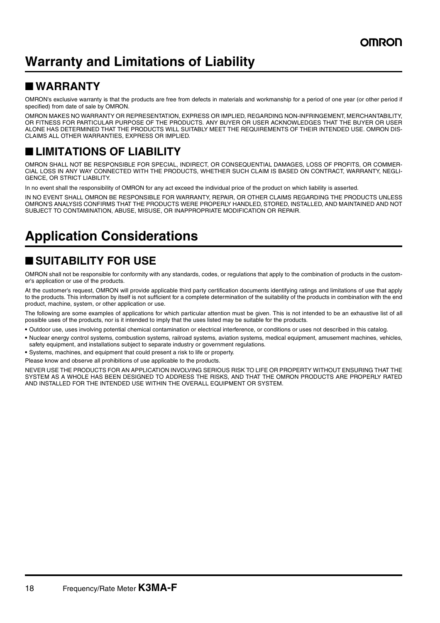# **Warranty and Limitations of Liability**

# ■ **WARRANTY**

OMRON's exclusive warranty is that the products are free from defects in materials and workmanship for a period of one year (or other period if specified) from date of sale by OMRON.

OMRON MAKES NO WARRANTY OR REPRESENTATION, EXPRESS OR IMPLIED, REGARDING NON-INFRINGEMENT, MERCHANTABILITY, OR FITNESS FOR PARTICULAR PURPOSE OF THE PRODUCTS. ANY BUYER OR USER ACKNOWLEDGES THAT THE BUYER OR USER ALONE HAS DETERMINED THAT THE PRODUCTS WILL SUITABLY MEET THE REQUIREMENTS OF THEIR INTENDED USE. OMRON DIS-CLAIMS ALL OTHER WARRANTIES, EXPRESS OR IMPLIED.

# ■ **LIMITATIONS OF LIABILITY**

OMRON SHALL NOT BE RESPONSIBLE FOR SPECIAL, INDIRECT, OR CONSEQUENTIAL DAMAGES, LOSS OF PROFITS, OR COMMER-CIAL LOSS IN ANY WAY CONNECTED WITH THE PRODUCTS, WHETHER SUCH CLAIM IS BASED ON CONTRACT, WARRANTY, NEGLI-GENCE, OR STRICT LIABILITY.

In no event shall the responsibility of OMRON for any act exceed the individual price of the product on which liability is asserted.

IN NO EVENT SHALL OMRON BE RESPONSIBLE FOR WARRANTY, REPAIR, OR OTHER CLAIMS REGARDING THE PRODUCTS UNLESS OMRON'S ANALYSIS CONFIRMS THAT THE PRODUCTS WERE PROPERLY HANDLED, STORED, INSTALLED, AND MAINTAINED AND NOT SUBJECT TO CONTAMINATION, ABUSE, MISUSE, OR INAPPROPRIATE MODIFICATION OR REPAIR.

# **Application Considerations**

# ■ **SUITABILITY FOR USE**

OMRON shall not be responsible for conformity with any standards, codes, or regulations that apply to the combination of products in the customer's application or use of the products.

At the customer's request, OMRON will provide applicable third party certification documents identifying ratings and limitations of use that apply to the products. This information by itself is not sufficient for a complete determination of the suitability of the products in combination with the end product, machine, system, or other application or use.

The following are some examples of applications for which particular attention must be given. This is not intended to be an exhaustive list of all possible uses of the products, nor is it intended to imply that the uses listed may be suitable for the products.

- **•** Outdoor use, uses involving potential chemical contamination or electrical interference, or conditions or uses not described in this catalog.
- **•** Nuclear energy control systems, combustion systems, railroad systems, aviation systems, medical equipment, amusement machines, vehicles, safety equipment, and installations subject to separate industry or government regulations.
- **•** Systems, machines, and equipment that could present a risk to life or property.
- Please know and observe all prohibitions of use applicable to the products.

NEVER USE THE PRODUCTS FOR AN APPLICATION INVOLVING SERIOUS RISK TO LIFE OR PROPERTY WITHOUT ENSURING THAT THE SYSTEM AS A WHOLE HAS BEEN DESIGNED TO ADDRESS THE RISKS, AND THAT THE OMRON PRODUCTS ARE PROPERLY RATED AND INSTALLED FOR THE INTENDED USE WITHIN THE OVERALL EQUIPMENT OR SYSTEM.